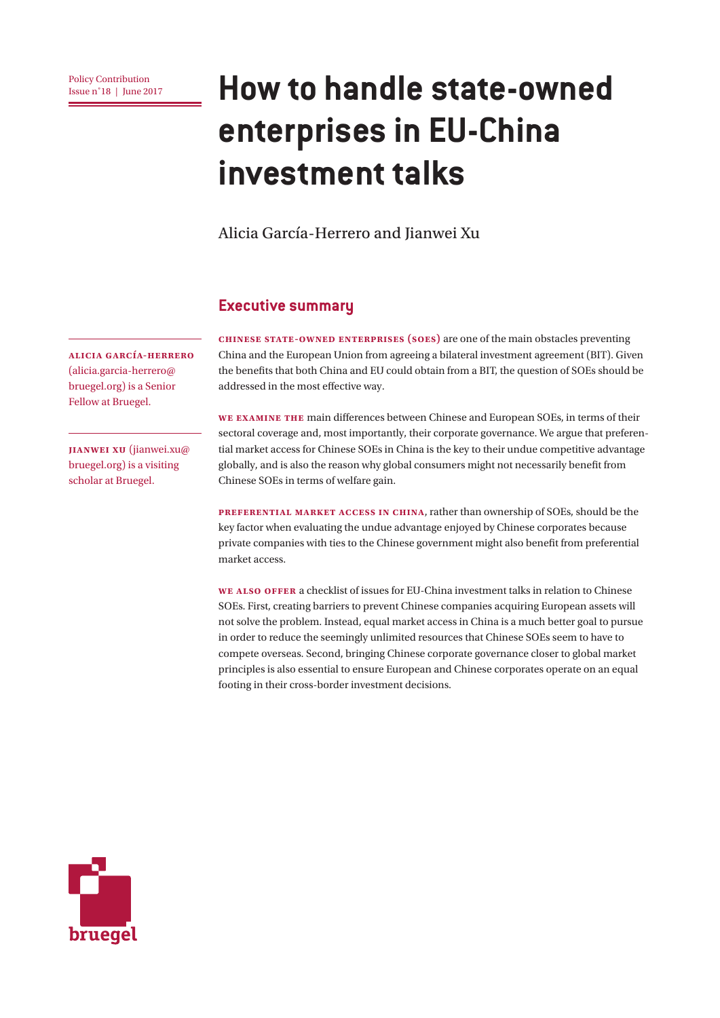# **Policy Contribution**<br>Issue n°18 | June 2017 **How to handle state-owned enterprises in EU-China investment talks**

Alicia García-Herrero and Jianwei Xu

### **Executive summary**

**Chinese state-owned enterprises (SOEs)** are one of the main obstacles preventing China and the European Union from agreeing a bilateral investment agreement (BIT). Given the benefits that both China and EU could obtain from a BIT, the question of SOEs should be addressed in the most effective way.

**We examine the** main differences between Chinese and European SOEs, in terms of their sectoral coverage and, most importantly, their corporate governance. We argue that preferential market access for Chinese SOEs in China is the key to their undue competitive advantage globally, and is also the reason why global consumers might not necessarily benefit from Chinese SOEs in terms of welfare gain.

**Preferential market access in China**, rather than ownership of SOEs, should be the key factor when evaluating the undue advantage enjoyed by Chinese corporates because private companies with ties to the Chinese government might also benefit from preferential market access.

**We also offer** a checklist of issues for EU-China investment talks in relation to Chinese SOEs. First, creating barriers to prevent Chinese companies acquiring European assets will not solve the problem. Instead, equal market access in China is a much better goal to pursue in order to reduce the seemingly unlimited resources that Chinese SOEs seem to have to compete overseas. Second, bringing Chinese corporate governance closer to global market principles is also essential to ensure European and Chinese corporates operate on an equal footing in their cross-border investment decisions.



**Alicia García-Herrero**  (alicia.garcia-herrero@ bruegel.org) is a Senior Fellow at Bruegel.

**Jianwei XU** (jianwei.xu@ bruegel.org) is a visiting scholar at Bruegel.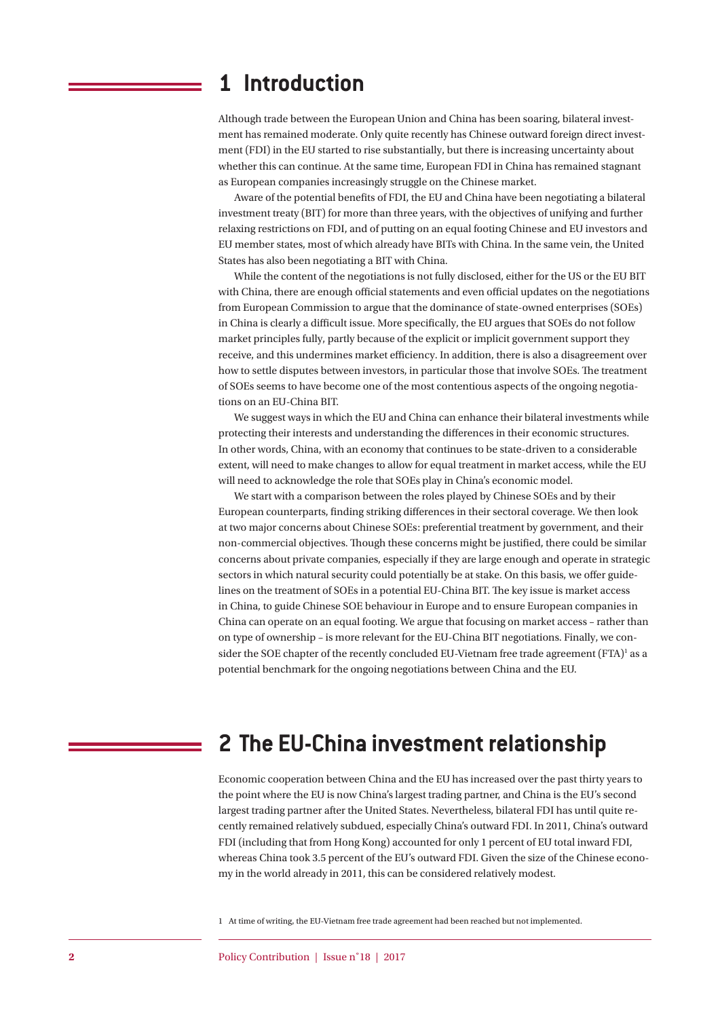### **1 Introduction**

Although trade between the European Union and China has been soaring, bilateral investment has remained moderate. Only quite recently has Chinese outward foreign direct investment (FDI) in the EU started to rise substantially, but there is increasing uncertainty about whether this can continue. At the same time, European FDI in China has remained stagnant as European companies increasingly struggle on the Chinese market.

Aware of the potential benefits of FDI, the EU and China have been negotiating a bilateral investment treaty (BIT) for more than three years, with the objectives of unifying and further relaxing restrictions on FDI, and of putting on an equal footing Chinese and EU investors and EU member states, most of which already have BITs with China. In the same vein, the United States has also been negotiating a BIT with China.

While the content of the negotiations is not fully disclosed, either for the US or the EU BIT with China, there are enough official statements and even official updates on the negotiations from European Commission to argue that the dominance of state-owned enterprises (SOEs) in China is clearly a difficult issue. More specifically, the EU argues that SOEs do not follow market principles fully, partly because of the explicit or implicit government support they receive, and this undermines market efficiency. In addition, there is also a disagreement over how to settle disputes between investors, in particular those that involve SOEs. The treatment of SOEs seems to have become one of the most contentious aspects of the ongoing negotiations on an EU-China BIT.

We suggest ways in which the EU and China can enhance their bilateral investments while protecting their interests and understanding the differences in their economic structures. In other words, China, with an economy that continues to be state-driven to a considerable extent, will need to make changes to allow for equal treatment in market access, while the EU will need to acknowledge the role that SOEs play in China's economic model.

We start with a comparison between the roles played by Chinese SOEs and by their European counterparts, finding striking differences in their sectoral coverage. We then look at two major concerns about Chinese SOEs: preferential treatment by government, and their non-commercial objectives. Though these concerns might be justified, there could be similar concerns about private companies, especially if they are large enough and operate in strategic sectors in which natural security could potentially be at stake. On this basis, we offer guidelines on the treatment of SOEs in a potential EU-China BIT. The key issue is market access in China, to guide Chinese SOE behaviour in Europe and to ensure European companies in China can operate on an equal footing. We argue that focusing on market access – rather than on type of ownership – is more relevant for the EU-China BIT negotiations. Finally, we consider the SOE chapter of the recently concluded EU-Vietnam free trade agreement (FTA)<sup>1</sup> as a potential benchmark for the ongoing negotiations between China and the EU.

### **2 The EU-China investment relationship**

Economic cooperation between China and the EU has increased over the past thirty years to the point where the EU is now China's largest trading partner, and China is the EU's second largest trading partner after the United States. Nevertheless, bilateral FDI has until quite recently remained relatively subdued, especially China's outward FDI. In 2011, China's outward FDI (including that from Hong Kong) accounted for only 1 percent of EU total inward FDI, whereas China took 3.5 percent of the EU's outward FDI. Given the size of the Chinese economy in the world already in 2011, this can be considered relatively modest.

1 At time of writing, the EU-Vietnam free trade agreement had been reached but not implemented.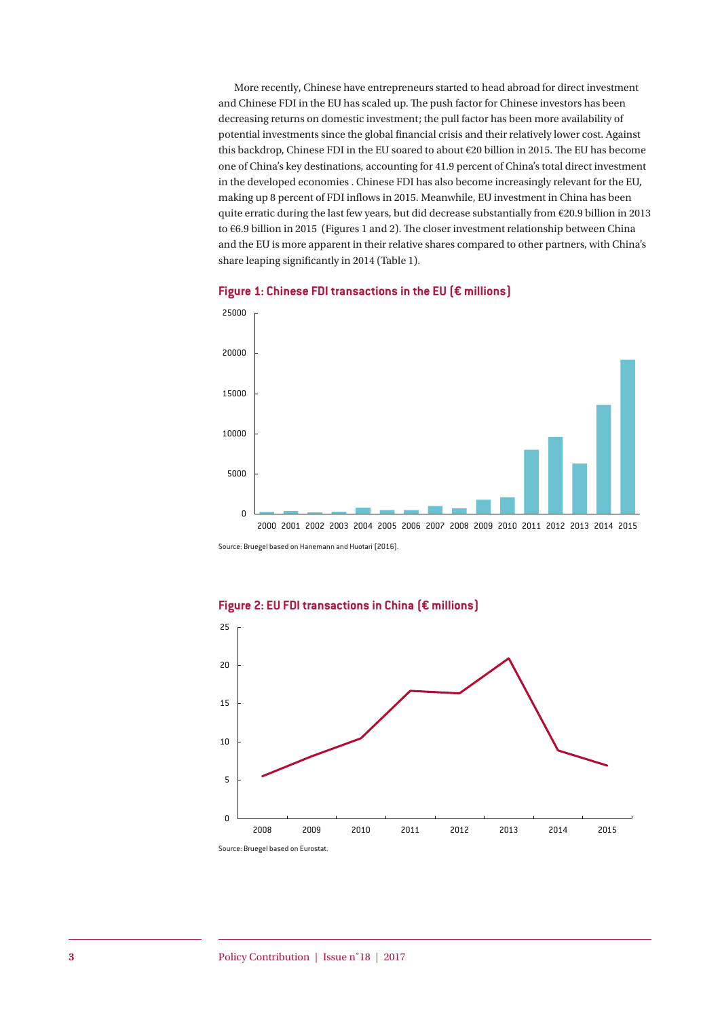More recently, Chinese have entrepreneurs started to head abroad for direct investment and Chinese FDI in the EU has scaled up. The push factor for Chinese investors has been decreasing returns on domestic investment; the pull factor has been more availability of potential investments since the global financial crisis and their relatively lower cost. Against this backdrop, Chinese FDI in the EU soared to about €20 billion in 2015. The EU has become one of China's key destinations, accounting for 41.9 percent of China's total direct investment in the developed economies . Chinese FDI has also become increasingly relevant for the EU, making up 8 percent of FDI inflows in 2015. Meanwhile, EU investment in China has been quite erratic during the last few years, but did decrease substantially from €20.9 billion in 2013 to €6.9 billion in 2015 (Figures 1 and 2). The closer investment relationship between China and the EU is more apparent in their relative shares compared to other partners, with China's share leaping significantly in 2014 (Table 1).





Source: Bruegel based on Hanemann and Huotari (2016).



#### **Figure 2: EU FDI transactions in China (€ millions)**

Source: Bruegel based on Eurostat.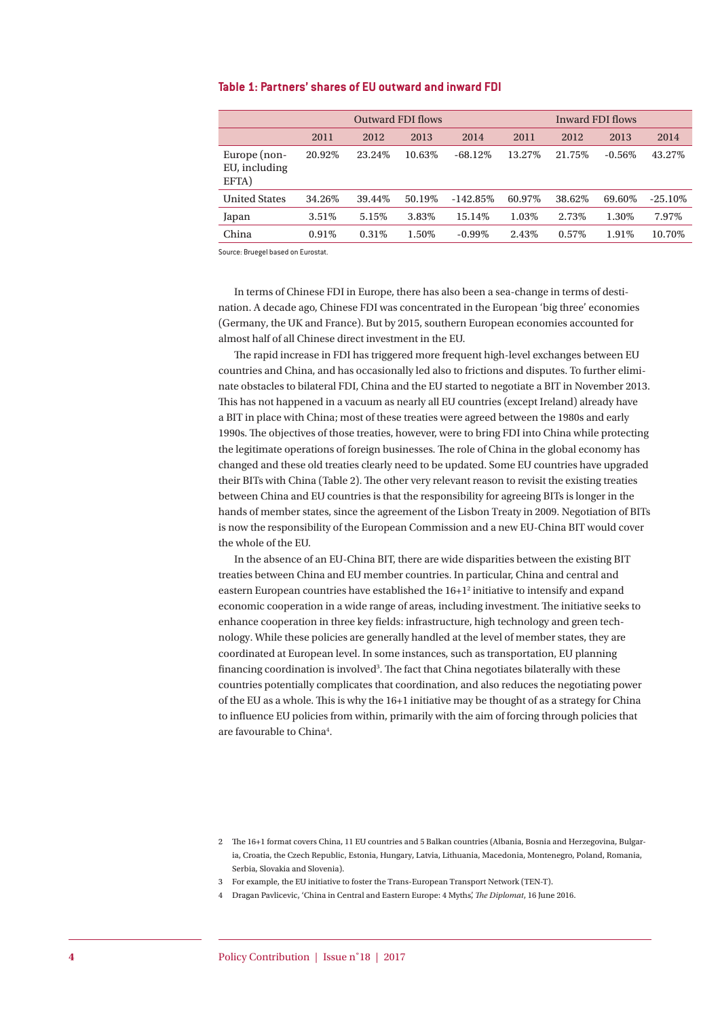|                                        | <b>Outward FDI flows</b> |        |        | <b>Inward FDI flows</b> |        |        |          |            |
|----------------------------------------|--------------------------|--------|--------|-------------------------|--------|--------|----------|------------|
|                                        | 2011                     | 2012   | 2013   | 2014                    | 2011   | 2012   | 2013     | 2014       |
| Europe (non-<br>EU, including<br>EFTA) | 20.92%                   | 23.24% | 10.63% | $-68.12%$               | 13.27% | 21.75% | $-0.56%$ | 43.27%     |
| <b>United States</b>                   | 34.26%                   | 39.44% | 50.19% | $-142.85%$              | 60.97% | 38.62% | 69.60%   | $-25.10\%$ |
| Japan                                  | 3.51%                    | 5.15%  | 3.83%  | 15.14%                  | 1.03%  | 2.73%  | 1.30%    | 7.97%      |
| China                                  | 0.91%                    | 0.31%  | 1.50%  | $-0.99%$                | 2.43%  | 0.57%  | 1.91%    | 10.70%     |

#### **Table 1: Partners' shares of EU outward and inward FDI**

Source: Bruegel based on Eurostat.

In terms of Chinese FDI in Europe, there has also been a sea-change in terms of destination. A decade ago, Chinese FDI was concentrated in the European 'big three' economies (Germany, the UK and France). But by 2015, southern European economies accounted for almost half of all Chinese direct investment in the EU.

The rapid increase in FDI has triggered more frequent high-level exchanges between EU countries and China, and has occasionally led also to frictions and disputes. To further eliminate obstacles to bilateral FDI, China and the EU started to negotiate a BIT in November 2013. This has not happened in a vacuum as nearly all EU countries (except Ireland) already have a BIT in place with China; most of these treaties were agreed between the 1980s and early 1990s. The objectives of those treaties, however, were to bring FDI into China while protecting the legitimate operations of foreign businesses. The role of China in the global economy has changed and these old treaties clearly need to be updated. Some EU countries have upgraded their BITs with China (Table 2). The other very relevant reason to revisit the existing treaties between China and EU countries is that the responsibility for agreeing BITs is longer in the hands of member states, since the agreement of the Lisbon Treaty in 2009. Negotiation of BITs is now the responsibility of the European Commission and a new EU-China BIT would cover the whole of the EU.

In the absence of an EU-China BIT, there are wide disparities between the existing BIT treaties between China and EU member countries. In particular, China and central and eastern European countries have established the  $16+1<sup>2</sup>$  initiative to intensify and expand economic cooperation in a wide range of areas, including investment. The initiative seeks to enhance cooperation in three key fields: infrastructure, high technology and green technology. While these policies are generally handled at the level of member states, they are coordinated at European level. In some instances, such as transportation, EU planning financing coordination is involved<sup>3</sup>. The fact that China negotiates bilaterally with these countries potentially complicates that coordination, and also reduces the negotiating power of the EU as a whole. This is why the 16+1 initiative may be thought of as a strategy for China to influence EU policies from within, primarily with the aim of forcing through policies that are favourable to China<sup>4</sup>.

- 3 For example, the EU initiative to foster the Trans-European Transport Network (TEN-T).
- 4 Dragan Pavlicevic, 'China in Central and Eastern Europe: 4 Myths', *The Diplomat*, 16 June 2016.

<sup>2</sup> The 16+1 format covers China, 11 EU countries and 5 Balkan countries (Albania, Bosnia and Herzegovina, Bulgaria, Croatia, the Czech Republic, Estonia, Hungary, Latvia, Lithuania, Macedonia, Montenegro, Poland, Romania, Serbia, Slovakia and Slovenia).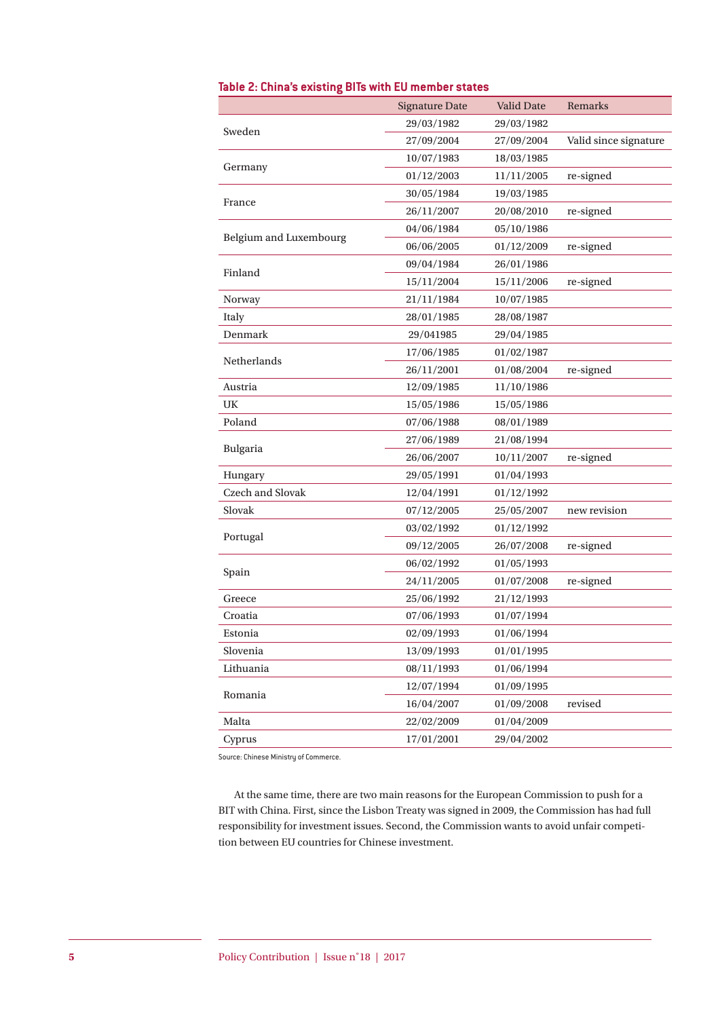|                        | <b>Signature Date</b> | <b>Valid Date</b> | Remarks               |
|------------------------|-----------------------|-------------------|-----------------------|
| Sweden                 | 29/03/1982            | 29/03/1982        |                       |
|                        | 27/09/2004            | 27/09/2004        | Valid since signature |
|                        | 10/07/1983            | 18/03/1985        |                       |
| Germany                | 01/12/2003            | 11/11/2005        | re-signed             |
|                        | 30/05/1984            | 19/03/1985        |                       |
| France                 | 26/11/2007            | 20/08/2010        | re-signed             |
| Belgium and Luxembourg | 04/06/1984            | 05/10/1986        |                       |
|                        | 06/06/2005            | 01/12/2009        | re-signed             |
| Finland                | 09/04/1984            | 26/01/1986        |                       |
|                        | 15/11/2004            | 15/11/2006        | re-signed             |
| Norway                 | 21/11/1984            | 10/07/1985        |                       |
| Italy                  | 28/01/1985            | 28/08/1987        |                       |
| Denmark                | 29/041985             | 29/04/1985        |                       |
| Netherlands            | 17/06/1985            | 01/02/1987        |                       |
|                        | 26/11/2001            | 01/08/2004        | re-signed             |
| Austria                | 12/09/1985            | 11/10/1986        |                       |
| UK                     | 15/05/1986            | 15/05/1986        |                       |
| Poland                 | 07/06/1988            | 08/01/1989        |                       |
| Bulgaria               | 27/06/1989            | 21/08/1994        |                       |
|                        | 26/06/2007            | 10/11/2007        | re-signed             |
| Hungary                | 29/05/1991            | 01/04/1993        |                       |
| Czech and Slovak       | 12/04/1991            | 01/12/1992        |                       |
| Slovak                 | 07/12/2005            | 25/05/2007        | new revision          |
|                        | 03/02/1992            | 01/12/1992        |                       |
| Portugal               | 09/12/2005            | 26/07/2008        | re-signed             |
|                        | 06/02/1992            | 01/05/1993        |                       |
| Spain                  | 24/11/2005            | 01/07/2008        | re-signed             |
| Greece                 | 25/06/1992            | 21/12/1993        |                       |
| Croatia                | 07/06/1993            | 01/07/1994        |                       |
| Estonia                | 02/09/1993            | 01/06/1994        |                       |
| Slovenia               | 13/09/1993            | 01/01/1995        |                       |
| Lithuania              | 08/11/1993            | 01/06/1994        |                       |
|                        | 12/07/1994            | 01/09/1995        |                       |
| Romania                | 16/04/2007            | 01/09/2008        | revised               |
| Malta                  | 22/02/2009            | 01/04/2009        |                       |
| Cyprus                 | 17/01/2001            | 29/04/2002        |                       |

#### **Table 2: China's existing BITs with EU member states**

Source: Chinese Ministry of Commerce.

At the same time, there are two main reasons for the European Commission to push for a BIT with China. First, since the Lisbon Treaty was signed in 2009, the Commission has had full responsibility for investment issues. Second, the Commission wants to avoid unfair competition between EU countries for Chinese investment.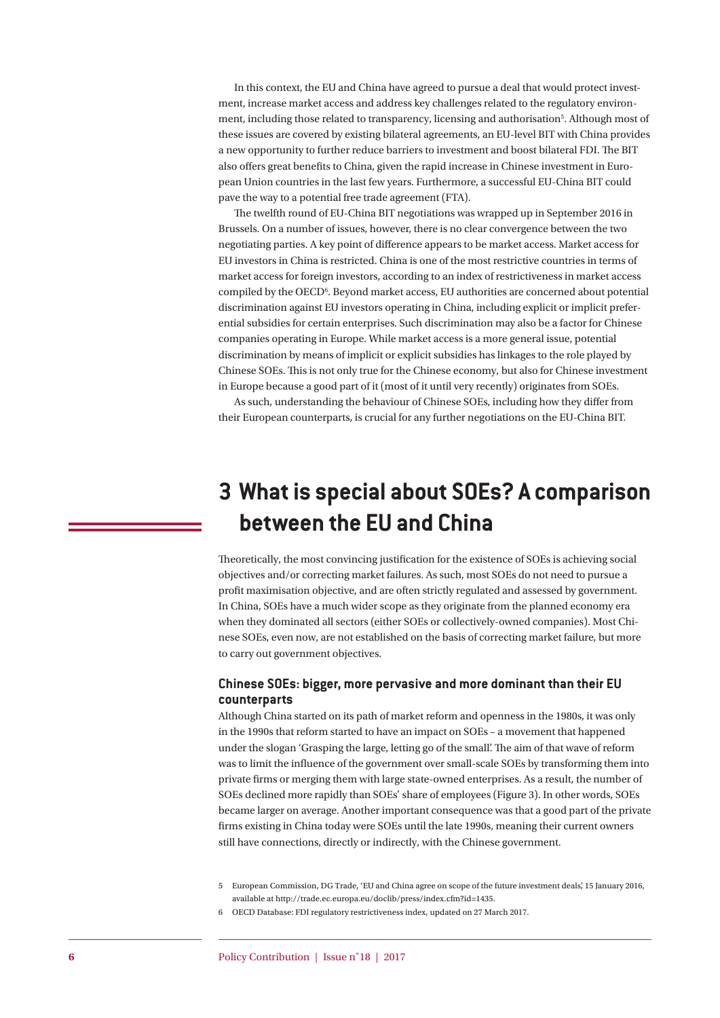In this context, the EU and China have agreed to pursue a deal that would protect investment, increase market access and address key challenges related to the regulatory environment, including those related to transparency, licensing and authorisation<sup>5</sup>. Although most of these issues are covered by existing bilateral agreements, an EU-level BIT with China provides a new opportunity to further reduce barriers to investment and boost bilateral FDI. The BIT also offers great benefits to China, given the rapid increase in Chinese investment in European Union countries in the last few years. Furthermore, a successful EU-China BIT could pave the way to a potential free trade agreement (FTA).

The twelfth round of EU-China BIT negotiations was wrapped up in September 2016 in Brussels. On a number of issues, however, there is no clear convergence between the two negotiating parties. A key point of difference appears to be market access. Market access for EU investors in China is restricted. China is one of the most restrictive countries in terms of market access for foreign investors, according to an index of restrictiveness in market access compiled by the OECD<sup>6</sup>. Beyond market access, EU authorities are concerned about potential discrimination against EU investors operating in China, including explicit or implicit preferential subsidies for certain enterprises. Such discrimination may also be a factor for Chinese companies operating in Europe. While market access is a more general issue, potential discrimination by means of implicit or explicit subsidies has linkages to the role played by Chinese SOEs. This is not only true for the Chinese economy, but also for Chinese investment in Europe because a good part of it (most of it until very recently) originates from SOEs.

As such, understanding the behaviour of Chinese SOEs, including how they differ from their European counterparts, is crucial for any further negotiations on the EU-China BIT.

### **3 What is special about SOEs? A comparison between the EU and China**

Theoretically, the most convincing justification for the existence of SOEs is achieving social objectives and/or correcting market failures. As such, most SOEs do not need to pursue a profit maximisation objective, and are often strictly regulated and assessed by government. In China, SOEs have a much wider scope as they originate from the planned economy era when they dominated all sectors (either SOEs or collectively-owned companies). Most Chinese SOEs, even now, are not established on the basis of correcting market failure, but more to carry out government objectives.

#### **Chinese SOEs: bigger, more pervasive and more dominant than their EU counterparts**

Although China started on its path of market reform and openness in the 1980s, it was only in the 1990s that reform started to have an impact on SOEs – a movement that happened under the slogan 'Grasping the large, letting go of the small'. The aim of that wave of reform was to limit the influence of the government over small-scale SOEs by transforming them into private firms or merging them with large state-owned enterprises. As a result, the number of SOEs declined more rapidly than SOEs' share of employees (Figure 3). In other words, SOEs became larger on average. Another important consequence was that a good part of the private firms existing in China today were SOEs until the late 1990s, meaning their current owners still have connections, directly or indirectly, with the Chinese government.

6 OECD Database: FDI regulatory restrictiveness index, updated on 27 March 2017.

<sup>5</sup> European Commission, DG Trade, 'EU and China agree on scope of the future investment deals', 15 January 2016, available at http://trade.ec.europa.eu/doclib/press/index.cfm?id=1435.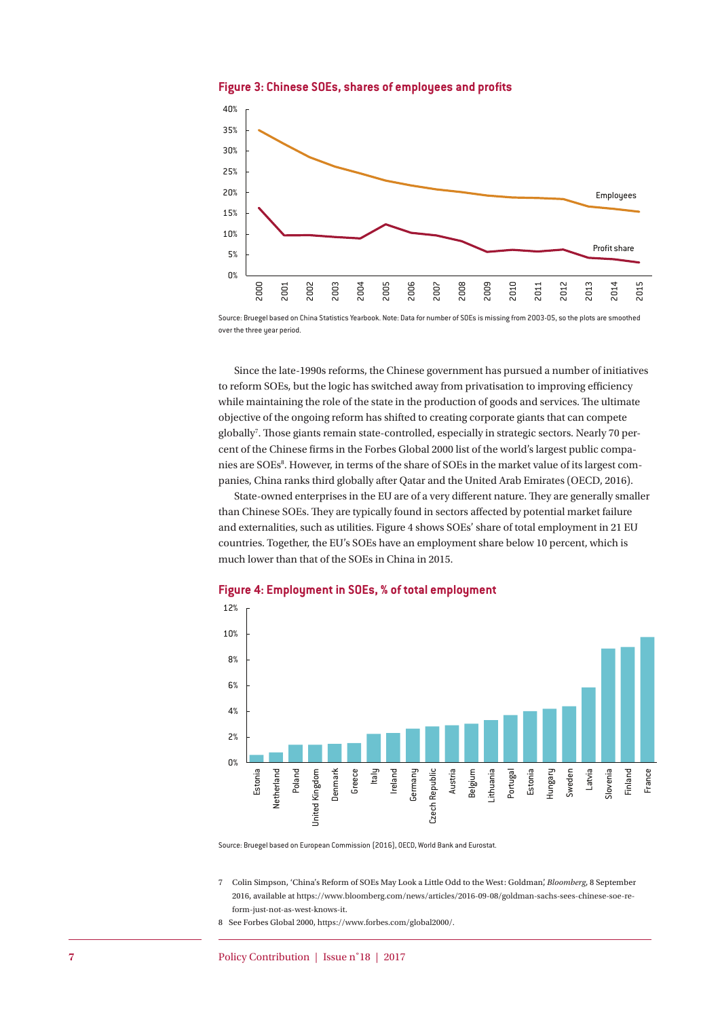**Figure 3: Chinese SOEs, shares of employees and profits**



Source: Bruegel based on China Statistics Yearbook. Note: Data for number of SOEs is missing from 2003-05, so the plots are smoothed over the three year period.

Since the late-1990s reforms, the Chinese government has pursued a number of initiatives to reform SOEs, but the logic has switched away from privatisation to improving efficiency while maintaining the role of the state in the production of goods and services. The ultimate objective of the ongoing reform has shifted to creating corporate giants that can compete globally<sup>7</sup>. Those giants remain state-controlled, especially in strategic sectors. Nearly 70 percent of the Chinese firms in the Forbes Global 2000 list of the world's largest public companies are SOEs<sup>8</sup>. However, in terms of the share of SOEs in the market value of its largest companies, China ranks third globally after Qatar and the United Arab Emirates (OECD, 2016).

State-owned enterprises in the EU are of a very different nature. They are generally smaller than Chinese SOEs. They are typically found in sectors affected by potential market failure and externalities, such as utilities. Figure 4 shows SOEs' share of total employment in 21 EU countries. Together, the EU's SOEs have an employment share below 10 percent, which is much lower than that of the SOEs in China in 2015.

#### 12% 10% 8% 6% 4% 2%  $n%$ Poland Greece Ireland Belgium Lithuania Portugal Estonia Hungary Sweden Latvia Slovenia Finland FranceEstonia letherland **Jnited Kingdom** Denmark Italy **Germany** zech Republic Austria Netherland United Kingdom Czech Republic

#### **Figure 4: Employment in SOEs, % of total employment**

Source: Bruegel based on European Commission (2016), OECD, World Bank and Eurostat.

- 7 Colin Simpson, 'China's Reform of SOEs May Look a Little Odd to the West: Goldman', *Bloomberg*, 8 September 2016, available at https://www.bloomberg.com/news/articles/2016-09-08/goldman-sachs-sees-chinese-soe-reform-just-not-as-west-knows-it.
- 8 See Forbes Global 2000, https://www.forbes.com/global2000/.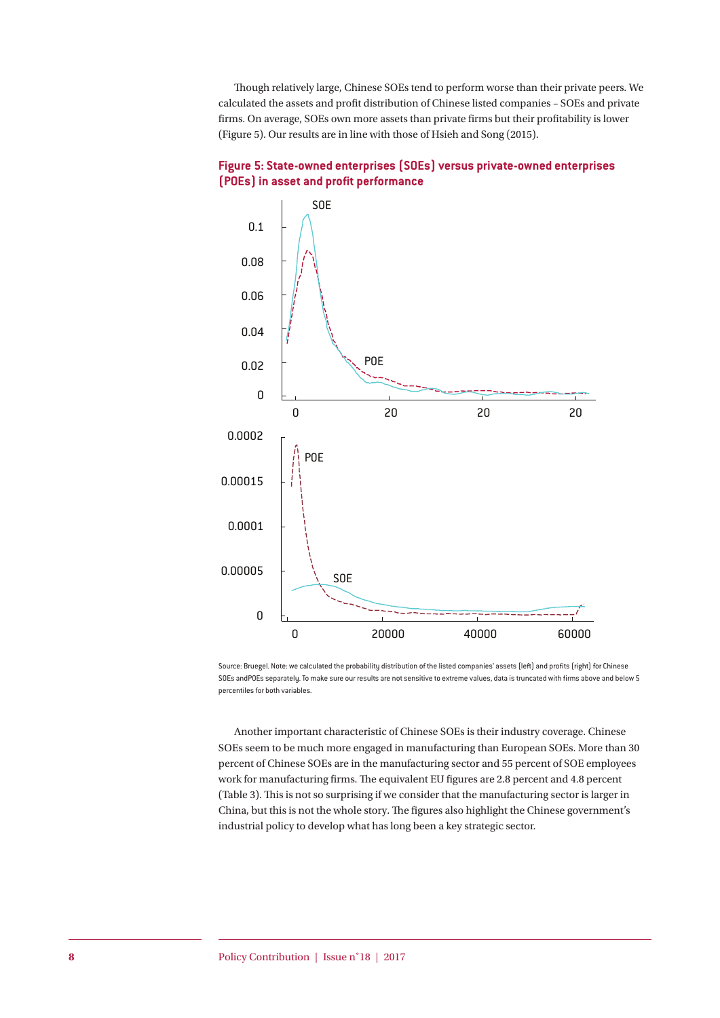Though relatively large, Chinese SOEs tend to perform worse than their private peers. We calculated the assets and profit distribution of Chinese listed companies – SOEs and private firms. On average, SOEs own more assets than private firms but their profitability is lower (Figure 5). Our results are in line with those of Hsieh and Song (2015).





Source: Bruegel. Note: we calculated the probability distribution of the listed companies' assets (left) and profits (right) for Chinese SOEs andPOEs separately. To make sure our results are not sensitive to extreme values, data is truncated with firms above and below 5 percentiles for both variables.

Another important characteristic of Chinese SOEs is their industry coverage. Chinese SOEs seem to be much more engaged in manufacturing than European SOEs. More than 30 percent of Chinese SOEs are in the manufacturing sector and 55 percent of SOE employees work for manufacturing firms. The equivalent EU figures are 2.8 percent and 4.8 percent (Table 3). This is not so surprising if we consider that the manufacturing sector is larger in China, but this is not the whole story. The figures also highlight the Chinese government's industrial policy to develop what has long been a key strategic sector.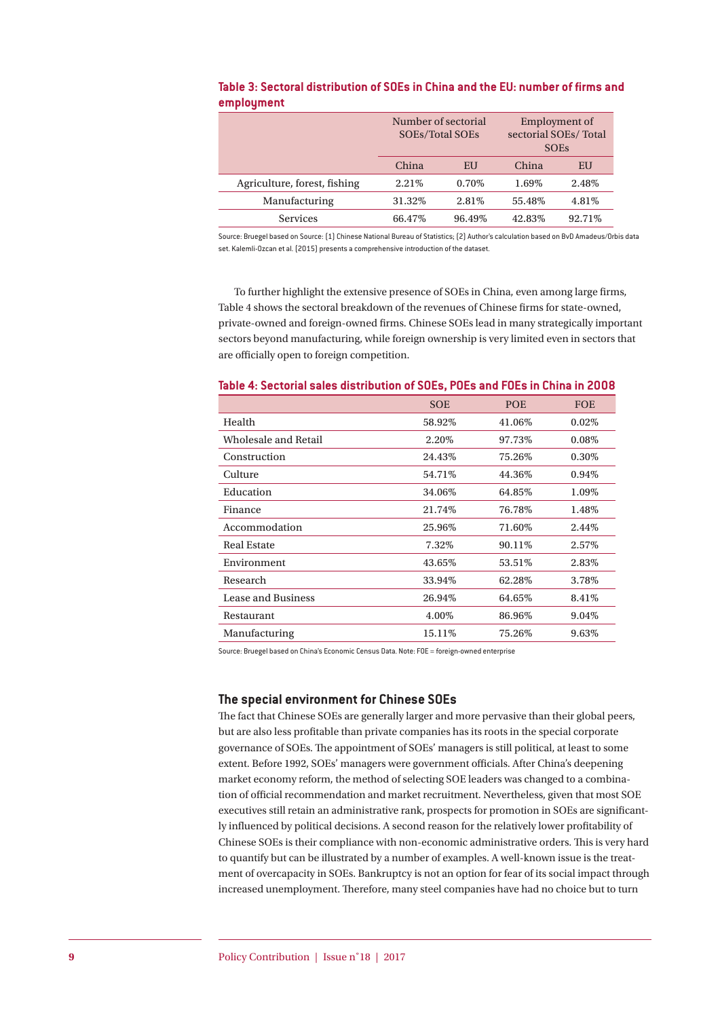|                              |        | Number of sectorial<br><b>SOEs/Total SOEs</b> |        | <b>Employment of</b><br>sectorial SOEs/Total<br><b>SOEs</b> |  |
|------------------------------|--------|-----------------------------------------------|--------|-------------------------------------------------------------|--|
|                              | China  | EU                                            | China  | EU                                                          |  |
| Agriculture, forest, fishing | 2.21\% | 0.70%                                         | 1.69%  | 2.48%                                                       |  |
| Manufacturing                | 31.32% | 2.81\%                                        | 55.48% | 4.81%                                                       |  |
| Services                     | 66.47% | 96.49%                                        | 42.83% | 92.71%                                                      |  |

#### **Table 3: Sectoral distribution of SOEs in China and the EU: number of firms and employment**

Source: Bruegel based on Source: (1) Chinese National Bureau of Statistics; (2) Author's calculation based on BvD Amadeus/Orbis data set. Kalemli-Ozcan et al. (2015) presents a comprehensive introduction of the dataset.

To further highlight the extensive presence of SOEs in China, even among large firms, Table 4 shows the sectoral breakdown of the revenues of Chinese firms for state-owned, private-owned and foreign-owned firms. Chinese SOEs lead in many strategically important sectors beyond manufacturing, while foreign ownership is very limited even in sectors that are officially open to foreign competition.

|                             | <b>SOE</b> | <b>POE</b> | <b>FOE</b> |
|-----------------------------|------------|------------|------------|
| Health                      | 58.92%     | 41.06%     | 0.02%      |
| <b>Wholesale and Retail</b> | 2.20%      | 97.73%     | $0.08\%$   |
| Construction                | 24.43%     | 75.26%     | 0.30%      |
| Culture                     | 54.71%     | 44.36%     | 0.94%      |
| Education                   | 34.06%     | 64.85%     | 1.09%      |
| Finance                     | 21.74%     | 76.78%     | 1.48%      |
| Accommodation               | 25.96%     | 71.60%     | 2.44\%     |
| <b>Real Estate</b>          | 7.32%      | 90.11%     | 2.57%      |
| Environment                 | 43.65%     | 53.51%     | 2.83%      |
| Research                    | 33.94%     | 62.28%     | 3.78%      |
| Lease and Business          | 26.94%     | 64.65%     | 8.41%      |
| Restaurant                  | 4.00%      | 86.96%     | 9.04%      |
| Manufacturing               | 15.11%     | 75.26%     | 9.63%      |

#### **Table 4: Sectorial sales distribution of SOEs, POEs and FOEs in China in 2008**

Source: Bruegel based on China's Economic Census Data. Note: FOE = foreign-owned enterprise

#### **The special environment for Chinese SOEs**

The fact that Chinese SOEs are generally larger and more pervasive than their global peers, but are also less profitable than private companies has its roots in the special corporate governance of SOEs. The appointment of SOEs' managers is still political, at least to some extent. Before 1992, SOEs' managers were government officials. After China's deepening market economy reform, the method of selecting SOE leaders was changed to a combination of official recommendation and market recruitment. Nevertheless, given that most SOE executives still retain an administrative rank, prospects for promotion in SOEs are significantly influenced by political decisions. A second reason for the relatively lower profitability of Chinese SOEs is their compliance with non-economic administrative orders. This is very hard to quantify but can be illustrated by a number of examples. A well-known issue is the treatment of overcapacity in SOEs. Bankruptcy is not an option for fear of its social impact through increased unemployment. Therefore, many steel companies have had no choice but to turn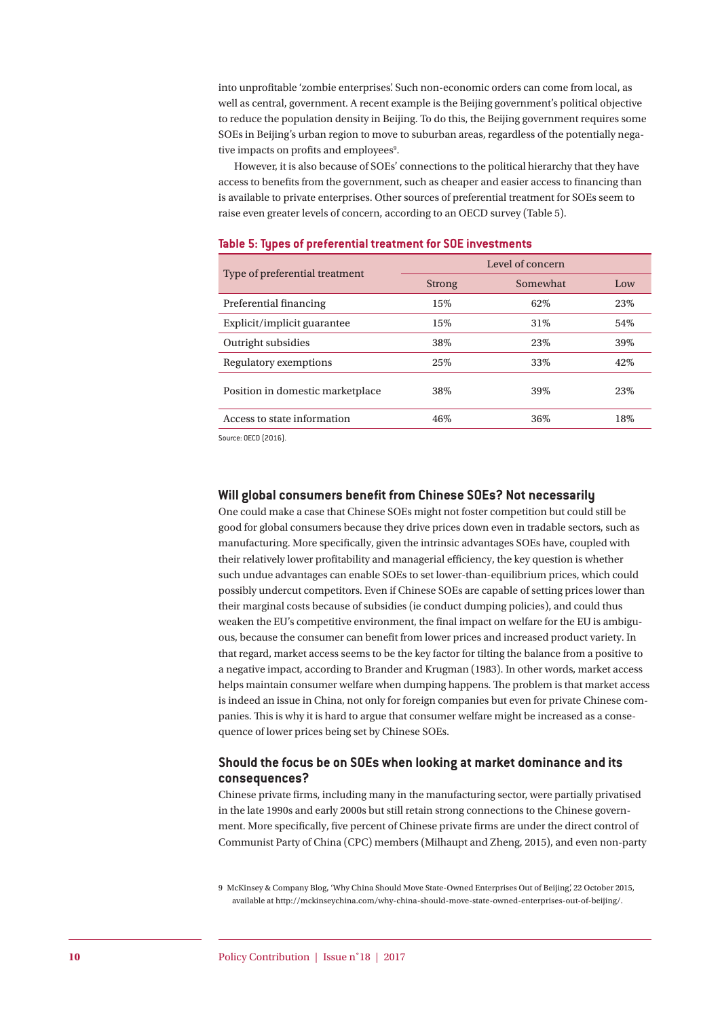into unprofitable 'zombie enterprises'. Such non-economic orders can come from local, as well as central, government. A recent example is the Beijing government's political objective to reduce the population density in Beijing. To do this, the Beijing government requires some SOEs in Beijing's urban region to move to suburban areas, regardless of the potentially negative impacts on profits and employees<sup>9</sup>.

However, it is also because of SOEs' connections to the political hierarchy that they have access to benefits from the government, such as cheaper and easier access to financing than is available to private enterprises. Other sources of preferential treatment for SOEs seem to raise even greater levels of concern, according to an OECD survey (Table 5).

| Level of concern                 |               |          |     |  |  |  |
|----------------------------------|---------------|----------|-----|--|--|--|
| Type of preferential treatment   |               |          |     |  |  |  |
|                                  | <b>Strong</b> | Somewhat | Low |  |  |  |
| Preferential financing           | 15%           | 62%      | 23% |  |  |  |
| Explicit/implicit guarantee      | 15%           | 31\%     | 54% |  |  |  |
| Outright subsidies               | 38%           | 23%      | 39% |  |  |  |
| Regulatory exemptions            | 25%           | 33%      | 42% |  |  |  |
| Position in domestic marketplace | 38%           | 39%      | 23% |  |  |  |
| Access to state information      | 46%           | 36%      | 18% |  |  |  |

#### **Table 5: Types of preferential treatment for SOE investments**

Source: OECD (2016).

#### **Will global consumers benefit from Chinese SOEs? Not necessarily**

One could make a case that Chinese SOEs might not foster competition but could still be good for global consumers because they drive prices down even in tradable sectors, such as manufacturing. More specifically, given the intrinsic advantages SOEs have, coupled with their relatively lower profitability and managerial efficiency, the key question is whether such undue advantages can enable SOEs to set lower-than-equilibrium prices, which could possibly undercut competitors. Even if Chinese SOEs are capable of setting prices lower than their marginal costs because of subsidies (ie conduct dumping policies), and could thus weaken the EU's competitive environment, the final impact on welfare for the EU is ambiguous, because the consumer can benefit from lower prices and increased product variety. In that regard, market access seems to be the key factor for tilting the balance from a positive to a negative impact, according to Brander and Krugman (1983). In other words, market access helps maintain consumer welfare when dumping happens. The problem is that market access is indeed an issue in China, not only for foreign companies but even for private Chinese companies. This is why it is hard to argue that consumer welfare might be increased as a consequence of lower prices being set by Chinese SOEs.

#### **Should the focus be on SOEs when looking at market dominance and its consequences?**

Chinese private firms, including many in the manufacturing sector, were partially privatised in the late 1990s and early 2000s but still retain strong connections to the Chinese government. More specifically, five percent of Chinese private firms are under the direct control of Communist Party of China (CPC) members (Milhaupt and Zheng, 2015), and even non-party

9 McKinsey & Company Blog, 'Why China Should Move State-Owned Enterprises Out of Beijing', 22 October 2015, available at http://mckinseychina.com/why-china-should-move-state-owned-enterprises-out-of-beijing/.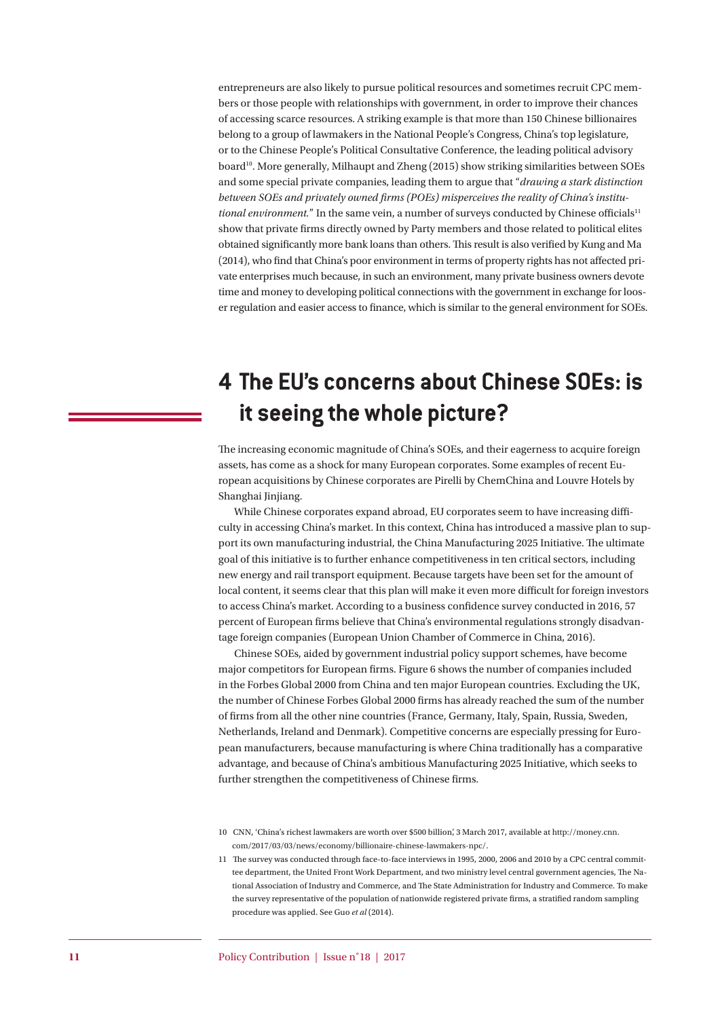entrepreneurs are also likely to pursue political resources and sometimes recruit CPC members or those people with relationships with government, in order to improve their chances of accessing scarce resources. A striking example is that more than 150 Chinese billionaires belong to a group of lawmakers in the National People's Congress, China's top legislature, or to the Chinese People's Political Consultative Conference, the leading political advisory board<sup>10</sup>. More generally, Milhaupt and Zheng (2015) show striking similarities between SOEs and some special private companies, leading them to argue that "*drawing a stark distinction between SOEs and privately owned firms (POEs) misperceives the reality of China's institutional environment.*" In the same vein, a number of surveys conducted by Chinese officials<sup>11</sup> show that private firms directly owned by Party members and those related to political elites obtained significantly more bank loans than others. This result is also verified by Kung and Ma (2014), who find that China's poor environment in terms of property rights has not affected private enterprises much because, in such an environment, many private business owners devote time and money to developing political connections with the government in exchange for looser regulation and easier access to finance, which is similar to the general environment for SOEs.

## **4 The EU's concerns about Chinese SOEs: is it seeing the whole picture?**

The increasing economic magnitude of China's SOEs, and their eagerness to acquire foreign assets, has come as a shock for many European corporates. Some examples of recent European acquisitions by Chinese corporates are Pirelli by ChemChina and Louvre Hotels by Shanghai Jinjiang.

While Chinese corporates expand abroad, EU corporates seem to have increasing difficulty in accessing China's market. In this context, China has introduced a massive plan to support its own manufacturing industrial, the China Manufacturing 2025 Initiative. The ultimate goal of this initiative is to further enhance competitiveness in ten critical sectors, including new energy and rail transport equipment. Because targets have been set for the amount of local content, it seems clear that this plan will make it even more difficult for foreign investors to access China's market. According to a business confidence survey conducted in 2016, 57 percent of European firms believe that China's environmental regulations strongly disadvantage foreign companies (European Union Chamber of Commerce in China, 2016).

Chinese SOEs, aided by government industrial policy support schemes, have become major competitors for European firms. Figure 6 shows the number of companies included in the Forbes Global 2000 from China and ten major European countries. Excluding the UK, the number of Chinese Forbes Global 2000 firms has already reached the sum of the number of firms from all the other nine countries (France, Germany, Italy, Spain, Russia, Sweden, Netherlands, Ireland and Denmark). Competitive concerns are especially pressing for European manufacturers, because manufacturing is where China traditionally has a comparative advantage, and because of China's ambitious Manufacturing 2025 Initiative, which seeks to further strengthen the competitiveness of Chinese firms.

10 CNN, 'China's richest lawmakers are worth over \$500 billion', 3 March 2017, available at http://money.cnn. com/2017/03/03/news/economy/billionaire-chinese-lawmakers-npc/.

<sup>11</sup> The survey was conducted through face-to-face interviews in 1995, 2000, 2006 and 2010 by a CPC central committee department, the United Front Work Department, and two ministry level central government agencies, The National Association of Industry and Commerce, and The State Administration for Industry and Commerce. To make the survey representative of the population of nationwide registered private firms, a stratified random sampling procedure was applied. See Guo *et al* (2014).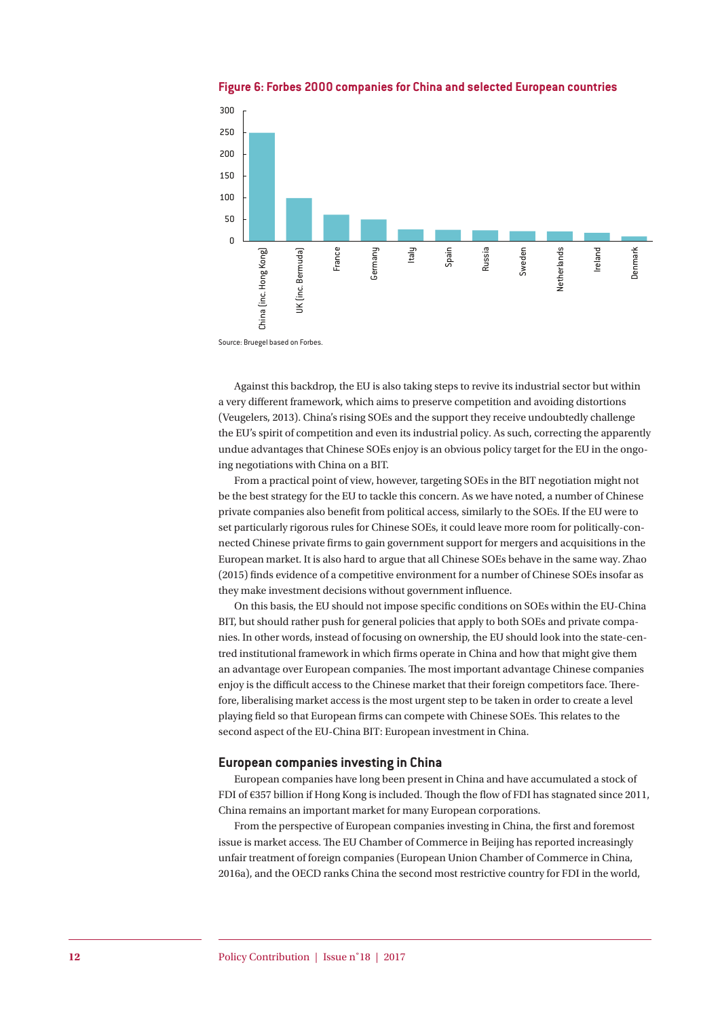

**Figure 6: Forbes 2000 companies for China and selected European countries**

Source: Bruegel based on Forbes.

Against this backdrop, the EU is also taking steps to revive its industrial sector but within a very different framework, which aims to preserve competition and avoiding distortions (Veugelers, 2013). China's rising SOEs and the support they receive undoubtedly challenge the EU's spirit of competition and even its industrial policy. As such, correcting the apparently undue advantages that Chinese SOEs enjoy is an obvious policy target for the EU in the ongoing negotiations with China on a BIT.

From a practical point of view, however, targeting SOEs in the BIT negotiation might not be the best strategy for the EU to tackle this concern. As we have noted, a number of Chinese private companies also benefit from political access, similarly to the SOEs. If the EU were to set particularly rigorous rules for Chinese SOEs, it could leave more room for politically-connected Chinese private firms to gain government support for mergers and acquisitions in the European market. It is also hard to argue that all Chinese SOEs behave in the same way. Zhao (2015) finds evidence of a competitive environment for a number of Chinese SOEs insofar as they make investment decisions without government influence.

On this basis, the EU should not impose specific conditions on SOEs within the EU-China BIT, but should rather push for general policies that apply to both SOEs and private companies. In other words, instead of focusing on ownership, the EU should look into the state-centred institutional framework in which firms operate in China and how that might give them an advantage over European companies. The most important advantage Chinese companies enjoy is the difficult access to the Chinese market that their foreign competitors face. Therefore, liberalising market access is the most urgent step to be taken in order to create a level playing field so that European firms can compete with Chinese SOEs. This relates to the second aspect of the EU-China BIT: European investment in China.

#### **European companies investing in China**

European companies have long been present in China and have accumulated a stock of FDI of €357 billion if Hong Kong is included. Though the flow of FDI has stagnated since 2011, China remains an important market for many European corporations.

From the perspective of European companies investing in China, the first and foremost issue is market access. The EU Chamber of Commerce in Beijing has reported increasingly unfair treatment of foreign companies (European Union Chamber of Commerce in China, 2016a), and the OECD ranks China the second most restrictive country for FDI in the world,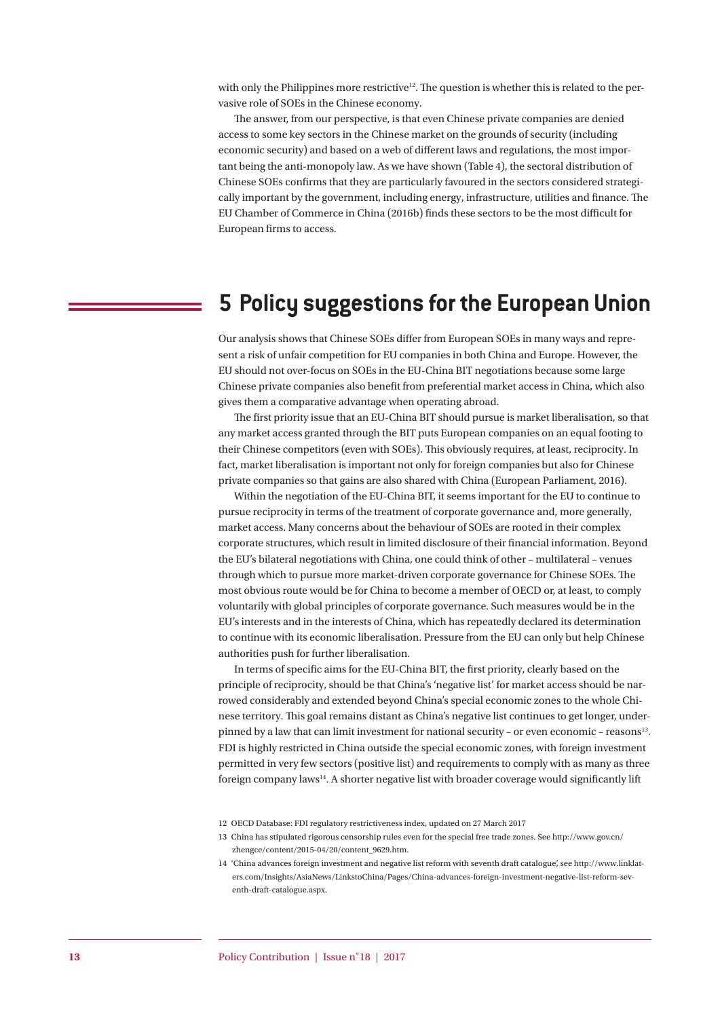with only the Philippines more restrictive<sup>12</sup>. The question is whether this is related to the pervasive role of SOEs in the Chinese economy.

The answer, from our perspective, is that even Chinese private companies are denied access to some key sectors in the Chinese market on the grounds of security (including economic security) and based on a web of different laws and regulations, the most important being the anti-monopoly law. As we have shown (Table 4), the sectoral distribution of Chinese SOEs confirms that they are particularly favoured in the sectors considered strategically important by the government, including energy, infrastructure, utilities and finance. The EU Chamber of Commerce in China (2016b) finds these sectors to be the most difficult for European firms to access.

### **5 Policy suggestions for the European Union**

Our analysis shows that Chinese SOEs differ from European SOEs in many ways and represent a risk of unfair competition for EU companies in both China and Europe. However, the EU should not over-focus on SOEs in the EU-China BIT negotiations because some large Chinese private companies also benefit from preferential market access in China, which also gives them a comparative advantage when operating abroad.

The first priority issue that an EU-China BIT should pursue is market liberalisation, so that any market access granted through the BIT puts European companies on an equal footing to their Chinese competitors (even with SOEs). This obviously requires, at least, reciprocity. In fact, market liberalisation is important not only for foreign companies but also for Chinese private companies so that gains are also shared with China (European Parliament, 2016).

Within the negotiation of the EU-China BIT, it seems important for the EU to continue to pursue reciprocity in terms of the treatment of corporate governance and, more generally, market access. Many concerns about the behaviour of SOEs are rooted in their complex corporate structures, which result in limited disclosure of their financial information. Beyond the EU's bilateral negotiations with China, one could think of other – multilateral – venues through which to pursue more market-driven corporate governance for Chinese SOEs. The most obvious route would be for China to become a member of OECD or, at least, to comply voluntarily with global principles of corporate governance. Such measures would be in the EU's interests and in the interests of China, which has repeatedly declared its determination to continue with its economic liberalisation. Pressure from the EU can only but help Chinese authorities push for further liberalisation.

In terms of specific aims for the EU-China BIT, the first priority, clearly based on the principle of reciprocity, should be that China's 'negative list' for market access should be narrowed considerably and extended beyond China's special economic zones to the whole Chinese territory. This goal remains distant as China's negative list continues to get longer, underpinned by a law that can limit investment for national security – or even economic – reasons13. FDI is highly restricted in China outside the special economic zones, with foreign investment permitted in very few sectors (positive list) and requirements to comply with as many as three foreign company laws14. A shorter negative list with broader coverage would significantly lift

<sup>12</sup> OECD Database: FDI regulatory restrictiveness index, updated on 27 March 2017

<sup>13</sup> China has stipulated rigorous censorship rules even for the special free trade zones. See http://www.gov.cn/ zhengce/content/2015-04/20/content\_9629.htm.

<sup>14</sup> 'China advances foreign investment and negative list reform with seventh draft catalogue', see http://www.linklaters.com/Insights/AsiaNews/LinkstoChina/Pages/China-advances-foreign-investment-negative-list-reform-seventh-draft-catalogue.aspx.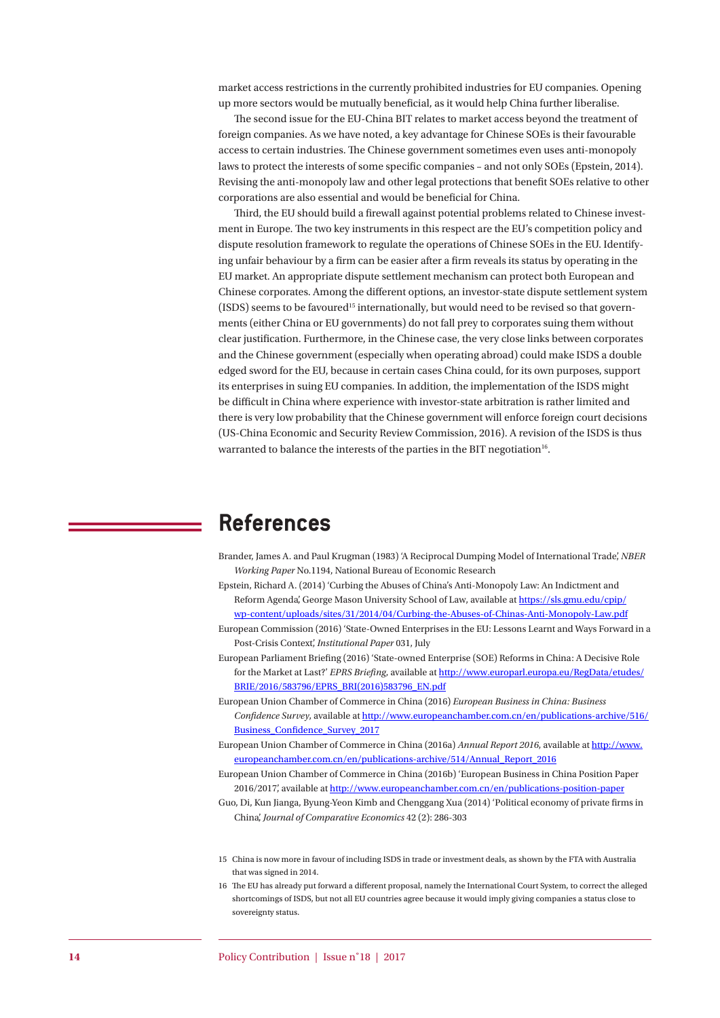market access restrictions in the currently prohibited industries for EU companies. Opening up more sectors would be mutually beneficial, as it would help China further liberalise.

The second issue for the EU-China BIT relates to market access beyond the treatment of foreign companies. As we have noted, a key advantage for Chinese SOEs is their favourable access to certain industries. The Chinese government sometimes even uses anti-monopoly laws to protect the interests of some specific companies – and not only SOEs (Epstein, 2014). Revising the anti-monopoly law and other legal protections that benefit SOEs relative to other corporations are also essential and would be beneficial for China.

Third, the EU should build a firewall against potential problems related to Chinese investment in Europe. The two key instruments in this respect are the EU's competition policy and dispute resolution framework to regulate the operations of Chinese SOEs in the EU. Identifying unfair behaviour by a firm can be easier after a firm reveals its status by operating in the EU market. An appropriate dispute settlement mechanism can protect both European and Chinese corporates. Among the different options, an investor-state dispute settlement system (ISDS) seems to be favoured15 internationally, but would need to be revised so that governments (either China or EU governments) do not fall prey to corporates suing them without clear justification. Furthermore, in the Chinese case, the very close links between corporates and the Chinese government (especially when operating abroad) could make ISDS a double edged sword for the EU, because in certain cases China could, for its own purposes, support its enterprises in suing EU companies. In addition, the implementation of the ISDS might be difficult in China where experience with investor-state arbitration is rather limited and there is very low probability that the Chinese government will enforce foreign court decisions (US-China Economic and Security Review Commission, 2016). A revision of the ISDS is thus warranted to balance the interests of the parties in the BIT negotiation $16$ .

### **References**

- Brander, James A. and Paul Krugman (1983) 'A Reciprocal Dumping Model of International Trade', *NBER Working Paper* No.1194, National Bureau of Economic Research
- Epstein, Richard A. (2014) 'Curbing the Abuses of China's Anti-Monopoly Law: An Indictment and Reform Agenda', George Mason University School of Law, available at https://sls.gmu.edu/cpip/ wp-content/uploads/sites/31/2014/04/Curbing-the-Abuses-of-Chinas-Anti-Monopoly-Law.pdf
- European Commission (2016) 'State-Owned Enterprises in the EU: Lessons Learnt and Ways Forward in a Post-Crisis Context', *Institutional Paper* 031, July
- European Parliament Briefing (2016) 'State-owned Enterprise (SOE) Reforms in China: A Decisive Role for the Market at Last?' *EPRS Briefing*, available at http://www.europarl.europa.eu/RegData/etudes/ BRIE/2016/583796/EPRS\_BRI(2016)583796\_EN.pdf
- European Union Chamber of Commerce in China (2016) *European Business in China: Business Confidence Survey*, available at http://www.europeanchamber.com.cn/en/publications-archive/516/ Business\_Confidence\_Survey\_2017
- European Union Chamber of Commerce in China (2016a) *Annual Report 2016*, available at http://www. europeanchamber.com.cn/en/publications-archive/514/Annual\_Report\_2016
- European Union Chamber of Commerce in China (2016b) 'European Business in China Position Paper 2016/2017', available at http://www.europeanchamber.com.cn/en/publications-position-paper
- Guo, Di, Kun Jianga, Byung-Yeon Kimb and Chenggang Xua (2014) 'Political economy of private firms in China', *Journal of Comparative Economics* 42 (2): 286-303
- 15 China is now more in favour of including ISDS in trade or investment deals, as shown by the FTA with Australia that was signed in 2014.
- 16 The EU has already put forward a different proposal, namely the International Court System, to correct the alleged shortcomings of ISDS, but not all EU countries agree because it would imply giving companies a status close to sovereignty status.